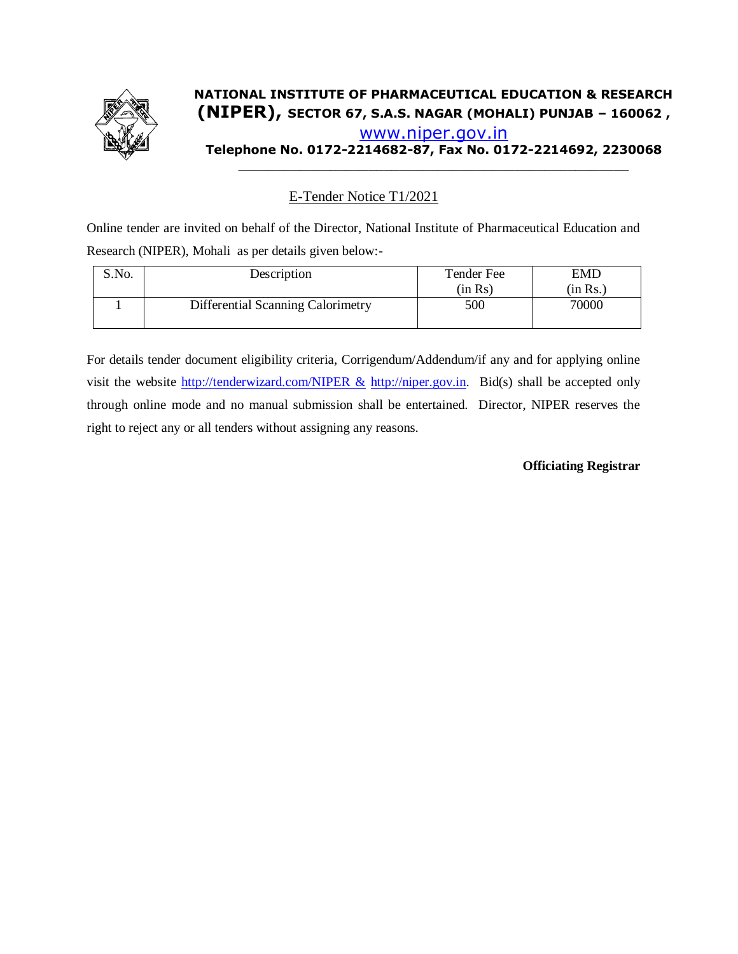

## **NATIONAL INSTITUTE OF PHARMACEUTICAL EDUCATION & RESEARCH (NIPER), SECTOR 67, S.A.S. NAGAR (MOHALI) PUNJAB – 160062 ,**  [www.niper.gov.in](http://www.niper.gov.in/) **Telephone No. 0172-2214682-87, Fax No. 0172-2214692, 2230068**

\_\_\_\_\_\_\_\_\_\_\_\_\_\_\_\_\_\_\_\_\_\_\_\_\_\_\_\_\_\_\_\_\_\_\_\_\_\_\_\_\_\_\_\_\_\_\_\_\_\_\_

E-Tender Notice T1/2021

Online tender are invited on behalf of the Director, National Institute of Pharmaceutical Education and Research (NIPER), Mohali as per details given below:-

| S.No. | Description                       | Tender Fee<br>(in Rs) | EMD<br>(in Rs.) |
|-------|-----------------------------------|-----------------------|-----------------|
|       | Differential Scanning Calorimetry | 500                   | 70000           |

For details tender document eligibility criteria, Corrigendum/Addendum/if any and for applying online visit the website [http://tenderwizard.com/NIPER &](http://tenderwizard.com/NIPER%20&) [http://niper.gov.in.](http://niper.gov.in/) Bid(s) shall be accepted only through online mode and no manual submission shall be entertained. Director, NIPER reserves the right to reject any or all tenders without assigning any reasons.

#### **Officiating Registrar**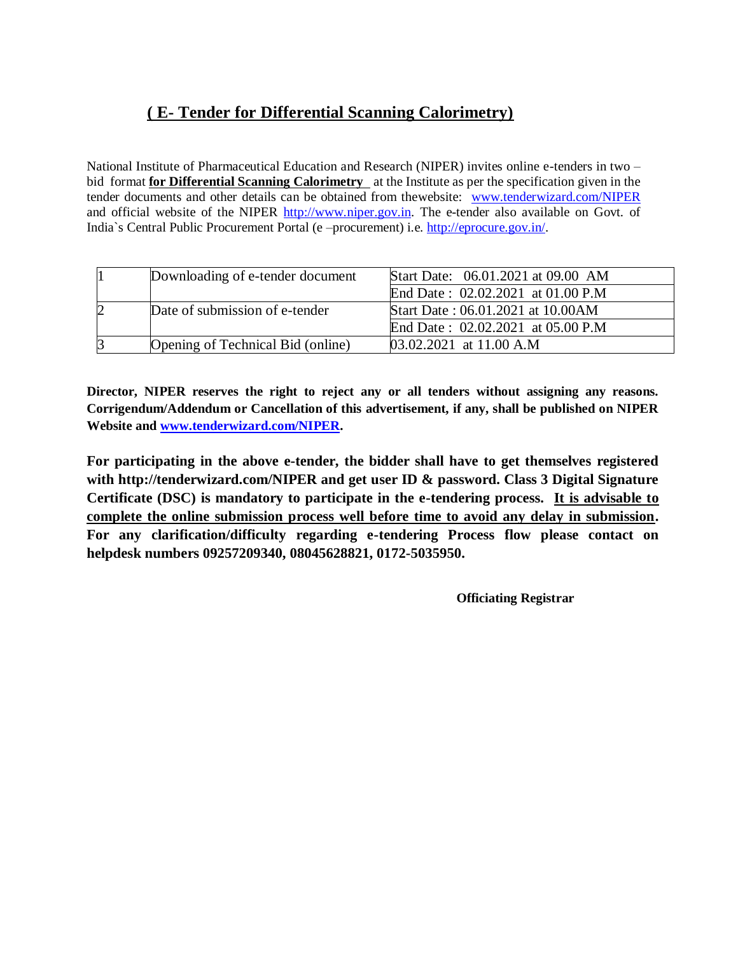## **( E- Tender for Differential Scanning Calorimetry)**

National Institute of Pharmaceutical Education and Research (NIPER) invites online e-tenders in two – bid format **for Differential Scanning Calorimetry** at the Institute as per the specification given in the tender documents and other details can be obtained from thewebsite: [www.tenderwizard.com/NIPER](http://www.tenderwizard.com/NIPER)  and official website of the NIPER [http://www.niper.gov.in.](http://www.niper.gov.in/) The e-tender also available on Govt. of India`s Central Public Procurement Portal (e –procurement) i.e. [http://eprocure.gov.in/.](http://eprocure.gov.in/)

| Downloading of e-tender document  | Start Date: 06.01.2021 at 09.00 AM |
|-----------------------------------|------------------------------------|
|                                   | End Date: 02.02.2021 at 01.00 P.M  |
| Date of submission of e-tender    | Start Date: 06.01.2021 at 10.00AM  |
|                                   | End Date: 02.02.2021 at 05.00 P.M  |
| Opening of Technical Bid (online) | $03.02.2021$ at 11.00 A.M          |

**Director, NIPER reserves the right to reject any or all tenders without assigning any reasons. Corrigendum/Addendum or Cancellation of this advertisement, if any, shall be published on NIPER Website and [www.tenderwizard.com/NIPER.](http://www.tenderwizard.com/NIPER)**

**For participating in the above e-tender, the bidder shall have to get themselves registered with http://tenderwizard.com/NIPER and get user ID & password. Class 3 Digital Signature Certificate (DSC) is mandatory to participate in the e-tendering process. It is advisable to complete the online submission process well before time to avoid any delay in submission. For any clarification/difficulty regarding e-tendering Process flow please contact on helpdesk numbers 09257209340, 08045628821, 0172-5035950.**

 **Officiating Registrar**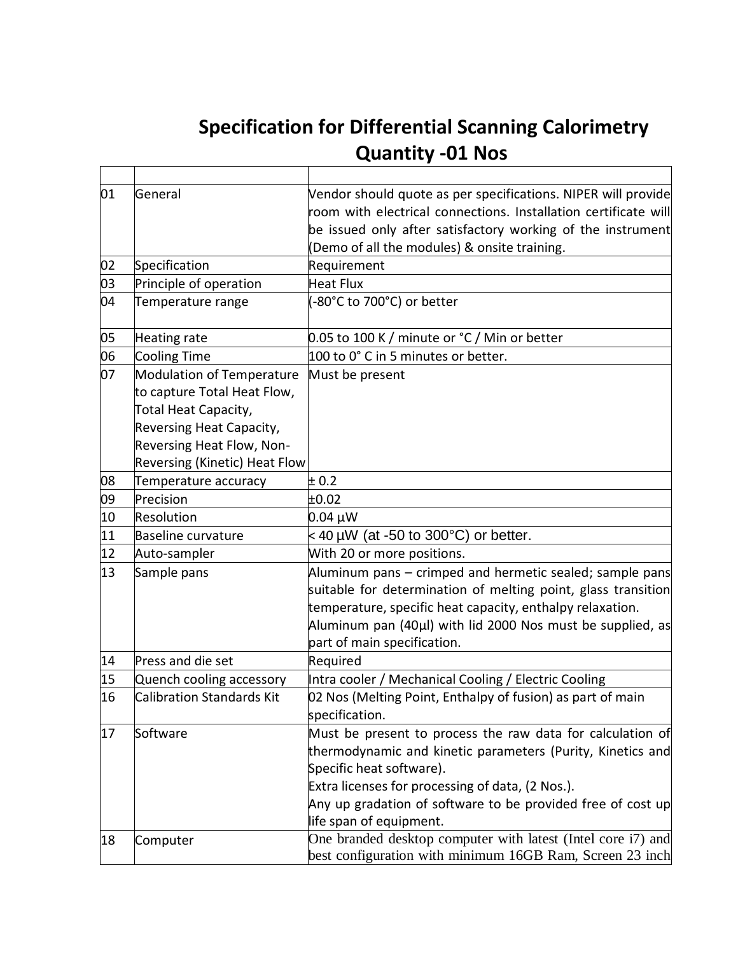# **Specification for Differential Scanning Calorimetry Cause Committee Committee Committee Committee Committee Committee Committee Committee Committee Committee Committee Committee Committee Committee Committee Committee Committee Committee Committee Committee Committee Commi**

 $\overline{\mathbf{I}}$ 

| 01 | General                                                                          | Vendor should quote as per specifications. NIPER will provide<br>room with electrical connections. Installation certificate will |
|----|----------------------------------------------------------------------------------|----------------------------------------------------------------------------------------------------------------------------------|
|    |                                                                                  | be issued only after satisfactory working of the instrument                                                                      |
|    |                                                                                  | Demo of all the modules) & onsite training.                                                                                      |
| 02 | Specification                                                                    | Requirement                                                                                                                      |
| 03 | Principle of operation                                                           | Heat Flux                                                                                                                        |
| 04 | Temperature range                                                                | (-80°C to 700°C) or better                                                                                                       |
| 05 | Heating rate                                                                     | 0.05 to 100 K / minute or °C / Min or better                                                                                     |
| 06 | <b>Cooling Time</b>                                                              | 100 to 0° C in 5 minutes or better.                                                                                              |
| 07 | Modulation of Temperature<br>to capture Total Heat Flow,<br>Total Heat Capacity, | Must be present                                                                                                                  |
|    | Reversing Heat Capacity,                                                         |                                                                                                                                  |
|    | Reversing Heat Flow, Non-                                                        |                                                                                                                                  |
|    | Reversing (Kinetic) Heat Flow                                                    |                                                                                                                                  |
| 08 | Temperature accuracy                                                             | ± 0.2                                                                                                                            |
| 09 | Precision                                                                        | ±0.02                                                                                                                            |
| 10 | <b>Resolution</b>                                                                | $0.04 \mu W$                                                                                                                     |
| 11 | <b>Baseline curvature</b>                                                        | $<$ 40 µW (at -50 to 300°C) or better.                                                                                           |
| 12 | Auto-sampler                                                                     | With 20 or more positions.                                                                                                       |
| 13 | Sample pans                                                                      | Aluminum pans – crimped and hermetic sealed; sample pans                                                                         |
|    |                                                                                  | suitable for determination of melting point, glass transition                                                                    |
|    |                                                                                  | temperature, specific heat capacity, enthalpy relaxation.                                                                        |
|    |                                                                                  | Aluminum pan (40µl) with lid 2000 Nos must be supplied, as                                                                       |
|    |                                                                                  | part of main specification.                                                                                                      |
| 14 | Press and die set                                                                | Required                                                                                                                         |
| 15 | Quench cooling accessory                                                         | Intra cooler / Mechanical Cooling / Electric Cooling                                                                             |
| 16 | <b>Calibration Standards Kit</b>                                                 | 02 Nos (Melting Point, Enthalpy of fusion) as part of main<br>specification.                                                     |
| 17 | Software                                                                         | Must be present to process the raw data for calculation of<br>thermodynamic and kinetic parameters (Purity, Kinetics and         |
|    |                                                                                  | Specific heat software).                                                                                                         |
|    |                                                                                  | Extra licenses for processing of data, (2 Nos.).                                                                                 |
|    |                                                                                  | Any up gradation of software to be provided free of cost up                                                                      |
|    |                                                                                  | life span of equipment.                                                                                                          |
| 18 | Computer                                                                         | One branded desktop computer with latest (Intel core i7) and<br>best configuration with minimum 16GB Ram, Screen 23 inch         |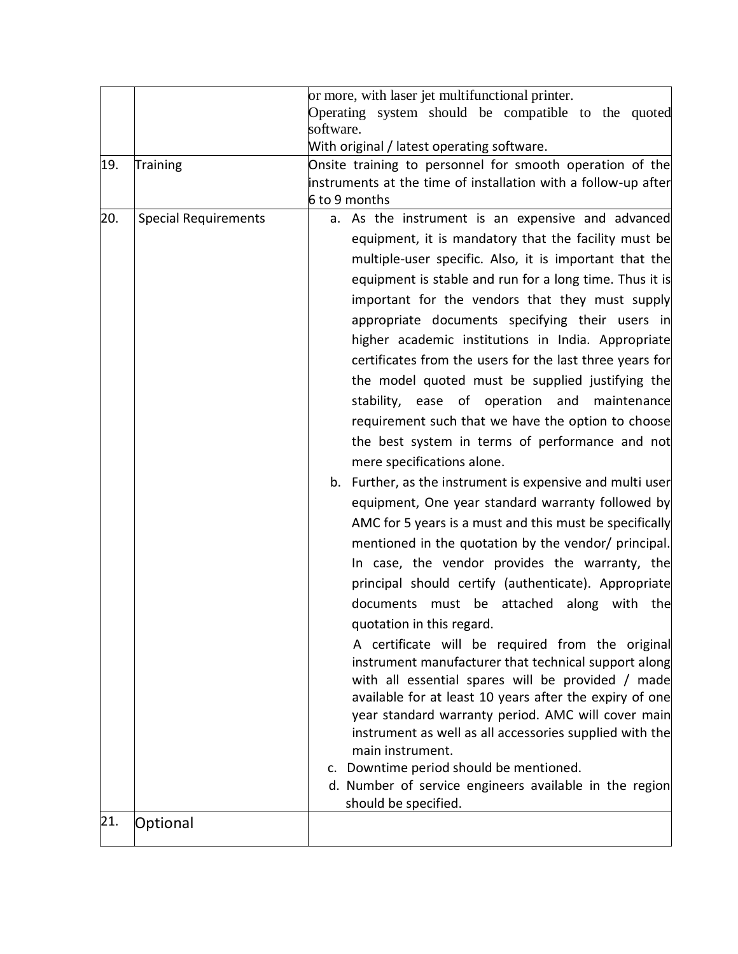|     |                             | or more, with laser jet multifunctional printer.<br>Operating system should be compatible to the quoted<br>software.                                                                                                                                                                                                                                                                                                                                                                                                                                                                                                                                                                                                                                                                                                                                                                                                                                                                                                                                                                                                                                                                                                                                                                                                                                                                                                                                                                                                                                                                                                           |
|-----|-----------------------------|--------------------------------------------------------------------------------------------------------------------------------------------------------------------------------------------------------------------------------------------------------------------------------------------------------------------------------------------------------------------------------------------------------------------------------------------------------------------------------------------------------------------------------------------------------------------------------------------------------------------------------------------------------------------------------------------------------------------------------------------------------------------------------------------------------------------------------------------------------------------------------------------------------------------------------------------------------------------------------------------------------------------------------------------------------------------------------------------------------------------------------------------------------------------------------------------------------------------------------------------------------------------------------------------------------------------------------------------------------------------------------------------------------------------------------------------------------------------------------------------------------------------------------------------------------------------------------------------------------------------------------|
|     |                             | With original / latest operating software.                                                                                                                                                                                                                                                                                                                                                                                                                                                                                                                                                                                                                                                                                                                                                                                                                                                                                                                                                                                                                                                                                                                                                                                                                                                                                                                                                                                                                                                                                                                                                                                     |
| 19. | Training                    | Onsite training to personnel for smooth operation of the<br>instruments at the time of installation with a follow-up after<br>6 to 9 months                                                                                                                                                                                                                                                                                                                                                                                                                                                                                                                                                                                                                                                                                                                                                                                                                                                                                                                                                                                                                                                                                                                                                                                                                                                                                                                                                                                                                                                                                    |
| 20. | <b>Special Requirements</b> | a. As the instrument is an expensive and advanced<br>equipment, it is mandatory that the facility must be<br>multiple-user specific. Also, it is important that the<br>equipment is stable and run for a long time. Thus it is<br>important for the vendors that they must supply<br>appropriate documents specifying their users in<br>higher academic institutions in India. Appropriate<br>certificates from the users for the last three years for<br>the model quoted must be supplied justifying the<br>stability, ease of operation and<br>maintenance<br>requirement such that we have the option to choose<br>the best system in terms of performance and not<br>mere specifications alone.<br>b. Further, as the instrument is expensive and multi user<br>equipment, One year standard warranty followed by<br>AMC for 5 years is a must and this must be specifically<br>mentioned in the quotation by the vendor/ principal.<br>In case, the vendor provides the warranty, the<br>principal should certify (authenticate). Appropriate<br>documents must be attached along with<br>the<br>quotation in this regard.<br>A certificate will be required from the original<br>instrument manufacturer that technical support along<br>with all essential spares will be provided / made<br>available for at least 10 years after the expiry of one<br>year standard warranty period. AMC will cover main<br>instrument as well as all accessories supplied with the<br>main instrument.<br>c. Downtime period should be mentioned.<br>d. Number of service engineers available in the region<br>should be specified. |
| 21. | Optional                    |                                                                                                                                                                                                                                                                                                                                                                                                                                                                                                                                                                                                                                                                                                                                                                                                                                                                                                                                                                                                                                                                                                                                                                                                                                                                                                                                                                                                                                                                                                                                                                                                                                |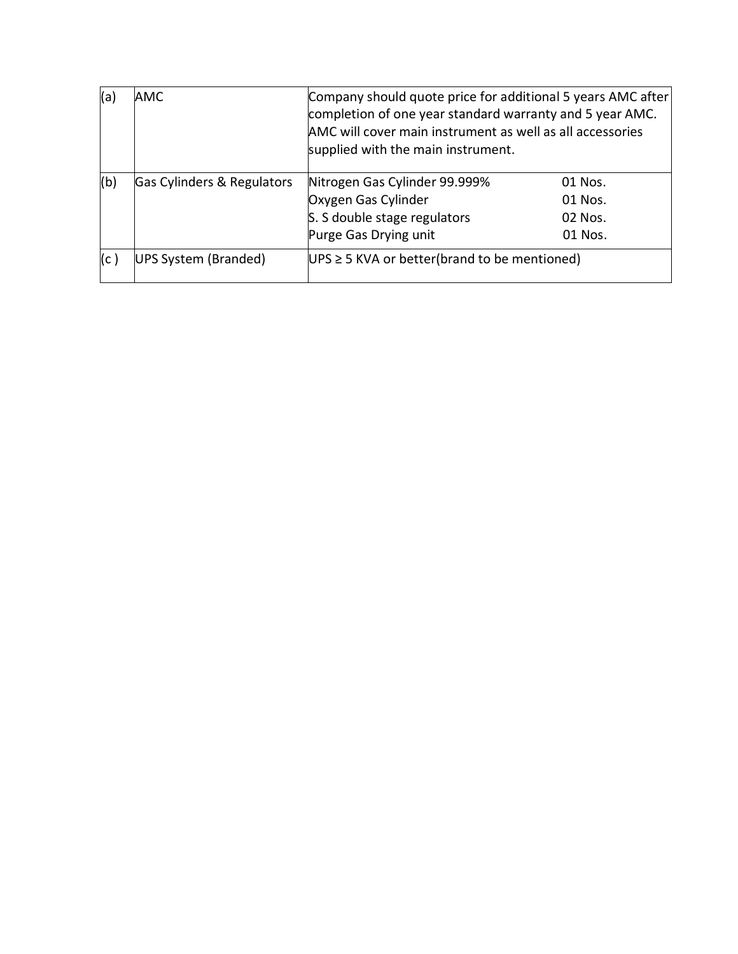| (a) | <b>AMC</b>                 | Company should quote price for additional 5 years AMC after<br>completion of one year standard warranty and 5 year AMC.<br>AMC will cover main instrument as well as all accessories<br>supplied with the main instrument. |                                          |
|-----|----------------------------|----------------------------------------------------------------------------------------------------------------------------------------------------------------------------------------------------------------------------|------------------------------------------|
| (b) | Gas Cylinders & Regulators | Nitrogen Gas Cylinder 99.999%<br>Oxygen Gas Cylinder<br>S. S double stage regulators<br>Purge Gas Drying unit                                                                                                              | 01 Nos.<br>01 Nos.<br>02 Nos.<br>01 Nos. |
| (c) | UPS System (Branded)       | $UPS \geq 5$ KVA or better(brand to be mentioned)                                                                                                                                                                          |                                          |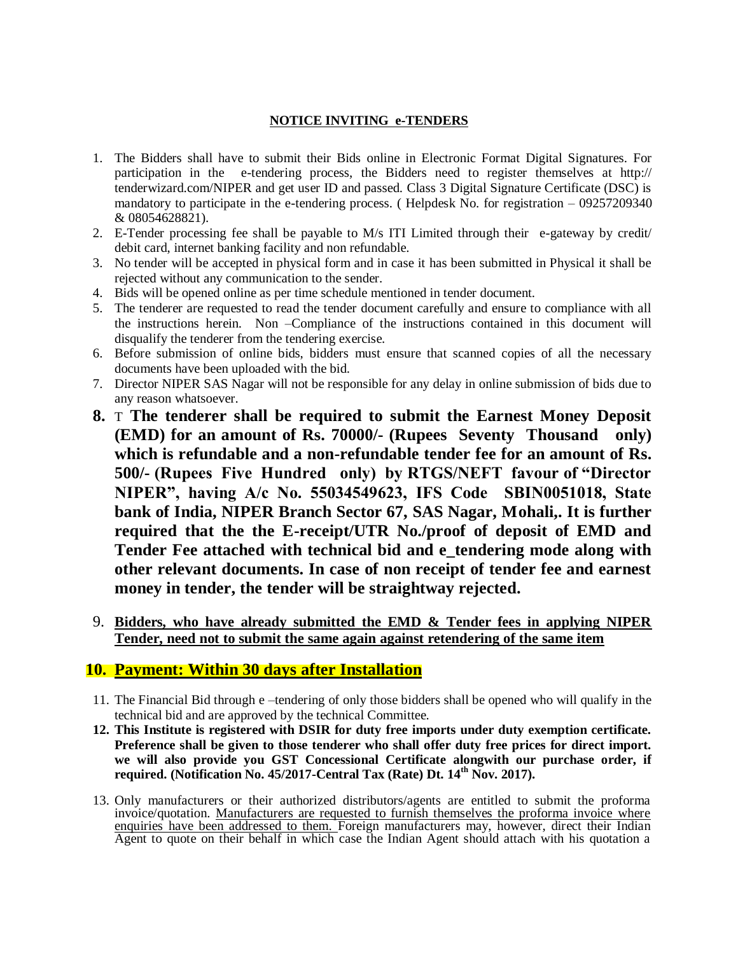#### **NOTICE INVITING e-TENDERS**

- 1. The Bidders shall have to submit their Bids online in Electronic Format Digital Signatures. For participation in the e-tendering process, the Bidders need to register themselves at http:// tenderwizard.com/NIPER and get user ID and passed. Class 3 Digital Signature Certificate (DSC) is mandatory to participate in the e-tendering process. ( Helpdesk No. for registration – 09257209340 & 08054628821).
- 2. E-Tender processing fee shall be payable to M/s ITI Limited through their e-gateway by credit/ debit card, internet banking facility and non refundable.
- 3. No tender will be accepted in physical form and in case it has been submitted in Physical it shall be rejected without any communication to the sender.
- 4. Bids will be opened online as per time schedule mentioned in tender document.
- 5. The tenderer are requested to read the tender document carefully and ensure to compliance with all the instructions herein. Non –Compliance of the instructions contained in this document will disqualify the tenderer from the tendering exercise.
- 6. Before submission of online bids, bidders must ensure that scanned copies of all the necessary documents have been uploaded with the bid.
- 7. Director NIPER SAS Nagar will not be responsible for any delay in online submission of bids due to any reason whatsoever.
- **8.** T **The tenderer shall be required to submit the Earnest Money Deposit (EMD) for an amount of Rs. 70000/- (Rupees Seventy Thousand only) which is refundable and a non-refundable tender fee for an amount of Rs. 500/- (Rupees Five Hundred only) by RTGS/NEFT favour of "Director NIPER", having A/c No. 55034549623, IFS Code SBIN0051018, State bank of India, NIPER Branch Sector 67, SAS Nagar, Mohali,. It is further required that the the E-receipt/UTR No./proof of deposit of EMD and Tender Fee attached with technical bid and e\_tendering mode along with other relevant documents. In case of non receipt of tender fee and earnest money in tender, the tender will be straightway rejected.**
- 9. **Bidders, who have already submitted the EMD & Tender fees in applying NIPER Tender, need not to submit the same again against retendering of the same item**

#### **10. Payment: Within 30 days after Installation**

- 11. The Financial Bid through e –tendering of only those bidders shall be opened who will qualify in the technical bid and are approved by the technical Committee.
- **12. This Institute is registered with DSIR for duty free imports under duty exemption certificate. Preference shall be given to those tenderer who shall offer duty free prices for direct import. we will also provide you GST Concessional Certificate alongwith our purchase order, if required. (Notification No. 45/2017-Central Tax (Rate) Dt. 14th Nov. 2017).**
- 13. Only manufacturers or their authorized distributors/agents are entitled to submit the proforma invoice/quotation. Manufacturers are requested to furnish themselves the proforma invoice where enquiries have been addressed to them. Foreign manufacturers may, however, direct their Indian Agent to quote on their behalf in which case the Indian Agent should attach with his quotation a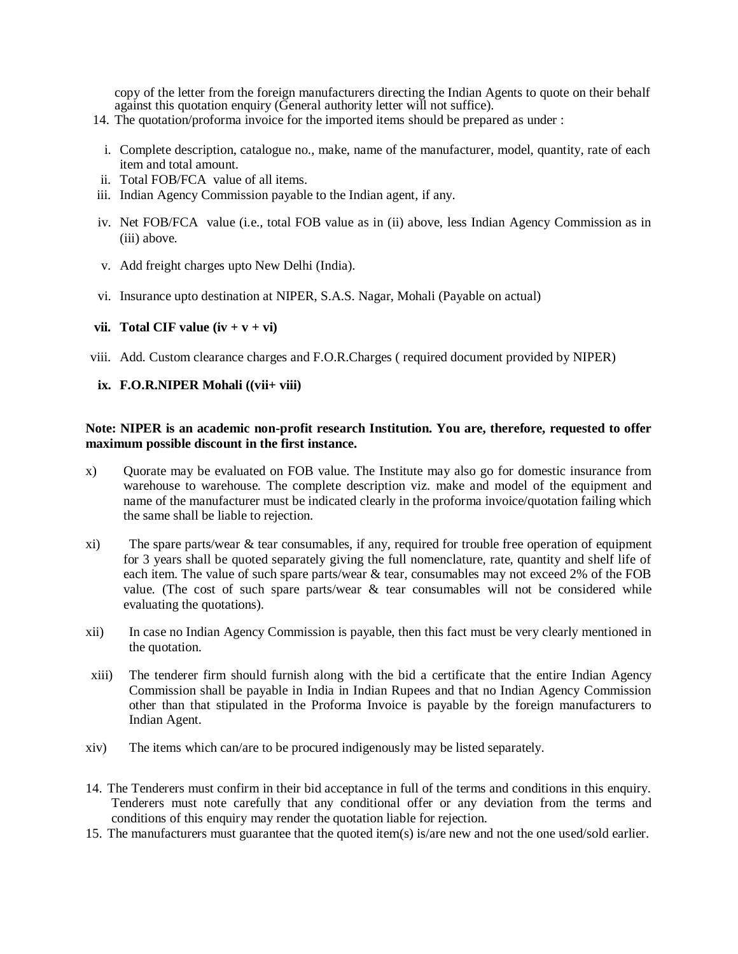copy of the letter from the foreign manufacturers directing the Indian Agents to quote on their behalf against this quotation enquiry (General authority letter will not suffice).

- 14. The quotation/proforma invoice for the imported items should be prepared as under :
- i. Complete description, catalogue no., make, name of the manufacturer, model, quantity, rate of each item and total amount.
- ii. Total FOB/FCA value of all items.
- iii. Indian Agency Commission payable to the Indian agent, if any.
- iv. Net FOB/FCA value (i.e., total FOB value as in (ii) above, less Indian Agency Commission as in (iii) above.
- v. Add freight charges upto New Delhi (India).
- vi. Insurance upto destination at NIPER, S.A.S. Nagar, Mohali (Payable on actual)

#### **vii. Total CIF value**  $(iv + v + vi)$

viii. Add. Custom clearance charges and F.O.R.Charges ( required document provided by NIPER)

#### **ix. F.O.R.NIPER Mohali ((vii+ viii)**

#### **Note: NIPER is an academic non-profit research Institution. You are, therefore, requested to offer maximum possible discount in the first instance.**

- x) Quorate may be evaluated on FOB value. The Institute may also go for domestic insurance from warehouse to warehouse. The complete description viz. make and model of the equipment and name of the manufacturer must be indicated clearly in the proforma invoice/quotation failing which the same shall be liable to rejection.
- xi) The spare parts/wear & tear consumables, if any, required for trouble free operation of equipment for 3 years shall be quoted separately giving the full nomenclature, rate, quantity and shelf life of each item. The value of such spare parts/wear & tear, consumables may not exceed 2% of the FOB value. (The cost of such spare parts/wear  $\&$  tear consumables will not be considered while evaluating the quotations).
- xii) In case no Indian Agency Commission is payable, then this fact must be very clearly mentioned in the quotation.
- xiii) The tenderer firm should furnish along with the bid a certificate that the entire Indian Agency Commission shall be payable in India in Indian Rupees and that no Indian Agency Commission other than that stipulated in the Proforma Invoice is payable by the foreign manufacturers to Indian Agent.
- xiv) The items which can/are to be procured indigenously may be listed separately.
- 14. The Tenderers must confirm in their bid acceptance in full of the terms and conditions in this enquiry. Tenderers must note carefully that any conditional offer or any deviation from the terms and conditions of this enquiry may render the quotation liable for rejection.
- 15. The manufacturers must guarantee that the quoted item(s) is/are new and not the one used/sold earlier.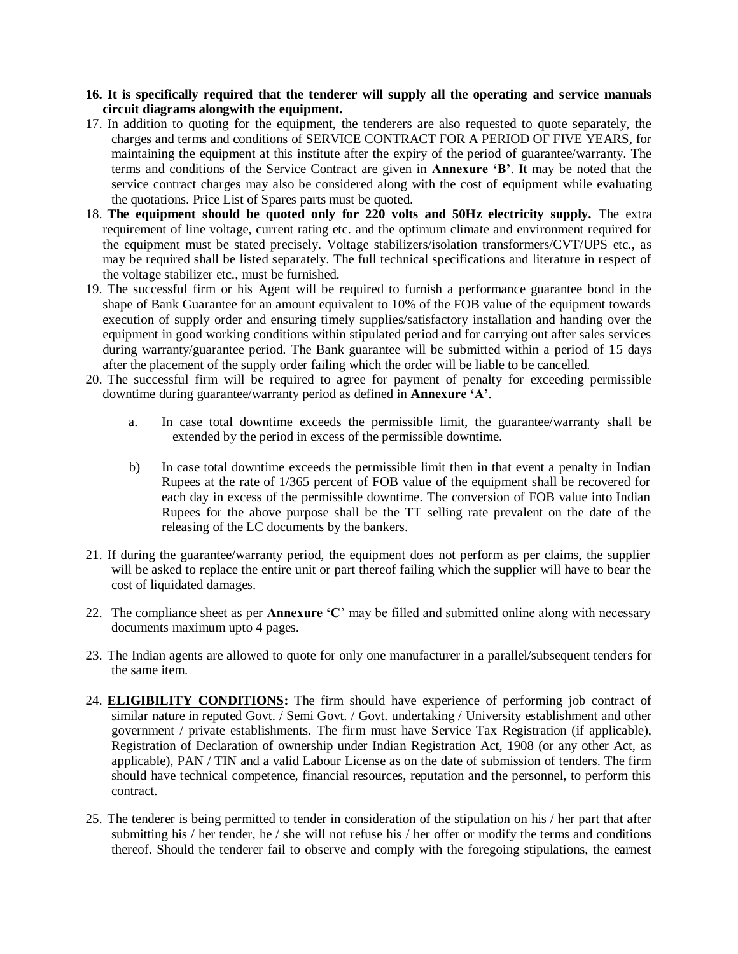#### **16. It is specifically required that the tenderer will supply all the operating and service manuals circuit diagrams alongwith the equipment.**

- 17. In addition to quoting for the equipment, the tenderers are also requested to quote separately, the charges and terms and conditions of SERVICE CONTRACT FOR A PERIOD OF FIVE YEARS, for maintaining the equipment at this institute after the expiry of the period of guarantee/warranty. The terms and conditions of the Service Contract are given in **Annexure 'B'**. It may be noted that the service contract charges may also be considered along with the cost of equipment while evaluating the quotations. Price List of Spares parts must be quoted.
- 18. **The equipment should be quoted only for 220 volts and 50Hz electricity supply.** The extra requirement of line voltage, current rating etc. and the optimum climate and environment required for the equipment must be stated precisely. Voltage stabilizers/isolation transformers/CVT/UPS etc., as may be required shall be listed separately. The full technical specifications and literature in respect of the voltage stabilizer etc., must be furnished.
- 19. The successful firm or his Agent will be required to furnish a performance guarantee bond in the shape of Bank Guarantee for an amount equivalent to 10% of the FOB value of the equipment towards execution of supply order and ensuring timely supplies/satisfactory installation and handing over the equipment in good working conditions within stipulated period and for carrying out after sales services during warranty/guarantee period. The Bank guarantee will be submitted within a period of 15 days after the placement of the supply order failing which the order will be liable to be cancelled.
- 20. The successful firm will be required to agree for payment of penalty for exceeding permissible downtime during guarantee/warranty period as defined in **Annexure 'A'**.
	- a. In case total downtime exceeds the permissible limit, the guarantee/warranty shall be extended by the period in excess of the permissible downtime.
	- b) In case total downtime exceeds the permissible limit then in that event a penalty in Indian Rupees at the rate of 1/365 percent of FOB value of the equipment shall be recovered for each day in excess of the permissible downtime. The conversion of FOB value into Indian Rupees for the above purpose shall be the TT selling rate prevalent on the date of the releasing of the LC documents by the bankers.
- 21. If during the guarantee/warranty period, the equipment does not perform as per claims, the supplier will be asked to replace the entire unit or part thereof failing which the supplier will have to bear the cost of liquidated damages.
- 22. The compliance sheet as per **Annexure 'C**' may be filled and submitted online along with necessary documents maximum upto 4 pages.
- 23. The Indian agents are allowed to quote for only one manufacturer in a parallel/subsequent tenders for the same item.
- 24. **ELIGIBILITY CONDITIONS:** The firm should have experience of performing job contract of similar nature in reputed Govt. / Semi Govt. / Govt. undertaking / University establishment and other government / private establishments. The firm must have Service Tax Registration (if applicable), Registration of Declaration of ownership under Indian Registration Act, 1908 (or any other Act, as applicable), PAN / TIN and a valid Labour License as on the date of submission of tenders. The firm should have technical competence, financial resources, reputation and the personnel, to perform this contract.
- 25. The tenderer is being permitted to tender in consideration of the stipulation on his / her part that after submitting his / her tender, he / she will not refuse his / her offer or modify the terms and conditions thereof. Should the tenderer fail to observe and comply with the foregoing stipulations, the earnest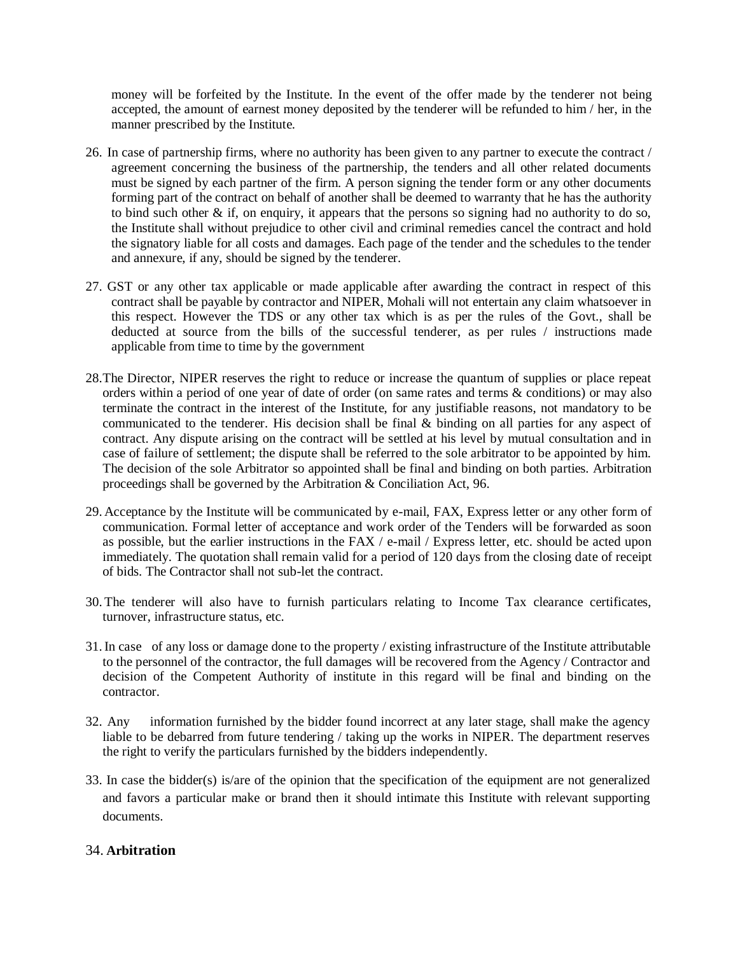money will be forfeited by the Institute. In the event of the offer made by the tenderer not being accepted, the amount of earnest money deposited by the tenderer will be refunded to him / her, in the manner prescribed by the Institute.

- 26. In case of partnership firms, where no authority has been given to any partner to execute the contract / agreement concerning the business of the partnership, the tenders and all other related documents must be signed by each partner of the firm. A person signing the tender form or any other documents forming part of the contract on behalf of another shall be deemed to warranty that he has the authority to bind such other & if, on enquiry, it appears that the persons so signing had no authority to do so, the Institute shall without prejudice to other civil and criminal remedies cancel the contract and hold the signatory liable for all costs and damages. Each page of the tender and the schedules to the tender and annexure, if any, should be signed by the tenderer.
- 27. GST or any other tax applicable or made applicable after awarding the contract in respect of this contract shall be payable by contractor and NIPER, Mohali will not entertain any claim whatsoever in this respect. However the TDS or any other tax which is as per the rules of the Govt., shall be deducted at source from the bills of the successful tenderer, as per rules / instructions made applicable from time to time by the government
- 28.The Director, NIPER reserves the right to reduce or increase the quantum of supplies or place repeat orders within a period of one year of date of order (on same rates and terms & conditions) or may also terminate the contract in the interest of the Institute, for any justifiable reasons, not mandatory to be communicated to the tenderer. His decision shall be final  $\&$  binding on all parties for any aspect of contract. Any dispute arising on the contract will be settled at his level by mutual consultation and in case of failure of settlement; the dispute shall be referred to the sole arbitrator to be appointed by him. The decision of the sole Arbitrator so appointed shall be final and binding on both parties. Arbitration proceedings shall be governed by the Arbitration & Conciliation Act, 96.
- 29. Acceptance by the Institute will be communicated by e-mail, FAX, Express letter or any other form of communication. Formal letter of acceptance and work order of the Tenders will be forwarded as soon as possible, but the earlier instructions in the FAX / e-mail / Express letter, etc. should be acted upon immediately. The quotation shall remain valid for a period of 120 days from the closing date of receipt of bids. The Contractor shall not sub-let the contract.
- 30. The tenderer will also have to furnish particulars relating to Income Tax clearance certificates, turnover, infrastructure status, etc.
- 31.In case of any loss or damage done to the property / existing infrastructure of the Institute attributable to the personnel of the contractor, the full damages will be recovered from the Agency / Contractor and decision of the Competent Authority of institute in this regard will be final and binding on the contractor.
- 32. Any information furnished by the bidder found incorrect at any later stage, shall make the agency liable to be debarred from future tendering / taking up the works in NIPER. The department reserves the right to verify the particulars furnished by the bidders independently.
- 33. In case the bidder(s) is/are of the opinion that the specification of the equipment are not generalized and favors a particular make or brand then it should intimate this Institute with relevant supporting documents.

#### 34. **Arbitration**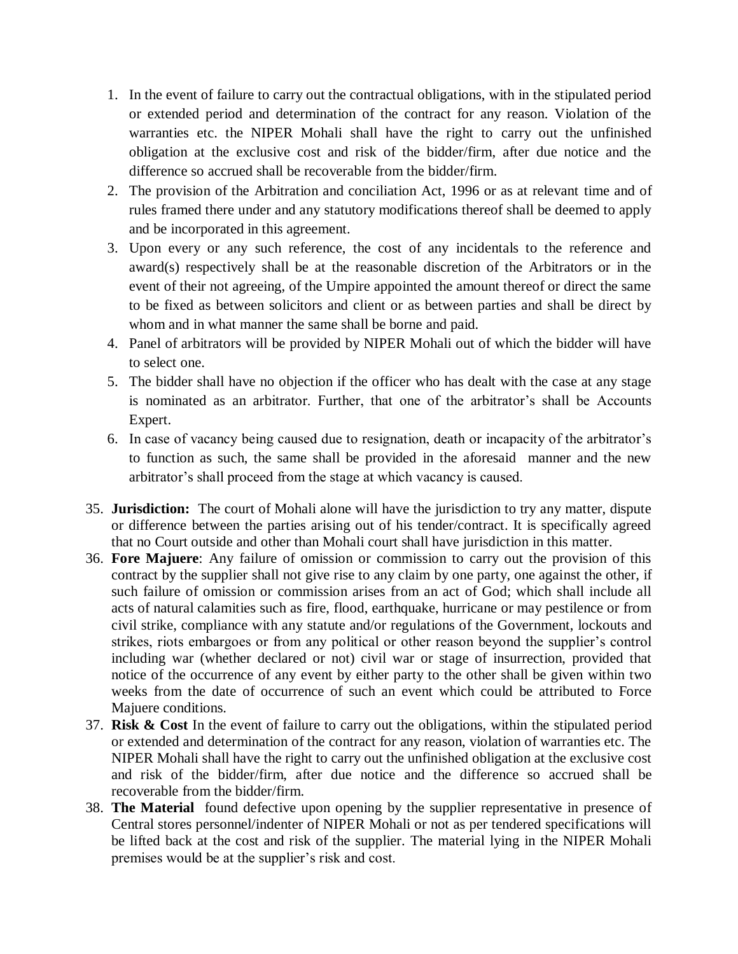- 1. In the event of failure to carry out the contractual obligations, with in the stipulated period or extended period and determination of the contract for any reason. Violation of the warranties etc. the NIPER Mohali shall have the right to carry out the unfinished obligation at the exclusive cost and risk of the bidder/firm, after due notice and the difference so accrued shall be recoverable from the bidder/firm.
- 2. The provision of the Arbitration and conciliation Act, 1996 or as at relevant time and of rules framed there under and any statutory modifications thereof shall be deemed to apply and be incorporated in this agreement.
- 3. Upon every or any such reference, the cost of any incidentals to the reference and award(s) respectively shall be at the reasonable discretion of the Arbitrators or in the event of their not agreeing, of the Umpire appointed the amount thereof or direct the same to be fixed as between solicitors and client or as between parties and shall be direct by whom and in what manner the same shall be borne and paid.
- 4. Panel of arbitrators will be provided by NIPER Mohali out of which the bidder will have to select one.
- 5. The bidder shall have no objection if the officer who has dealt with the case at any stage is nominated as an arbitrator. Further, that one of the arbitrator's shall be Accounts Expert.
- 6. In case of vacancy being caused due to resignation, death or incapacity of the arbitrator's to function as such, the same shall be provided in the aforesaid manner and the new arbitrator's shall proceed from the stage at which vacancy is caused.
- 35. **Jurisdiction:** The court of Mohali alone will have the jurisdiction to try any matter, dispute or difference between the parties arising out of his tender/contract. It is specifically agreed that no Court outside and other than Mohali court shall have jurisdiction in this matter.
- 36. **Fore Majuere**: Any failure of omission or commission to carry out the provision of this contract by the supplier shall not give rise to any claim by one party, one against the other, if such failure of omission or commission arises from an act of God; which shall include all acts of natural calamities such as fire, flood, earthquake, hurricane or may pestilence or from civil strike, compliance with any statute and/or regulations of the Government, lockouts and strikes, riots embargoes or from any political or other reason beyond the supplier's control including war (whether declared or not) civil war or stage of insurrection, provided that notice of the occurrence of any event by either party to the other shall be given within two weeks from the date of occurrence of such an event which could be attributed to Force Majuere conditions.
- 37. **Risk & Cost** In the event of failure to carry out the obligations, within the stipulated period or extended and determination of the contract for any reason, violation of warranties etc. The NIPER Mohali shall have the right to carry out the unfinished obligation at the exclusive cost and risk of the bidder/firm, after due notice and the difference so accrued shall be recoverable from the bidder/firm.
- 38. **The Material** found defective upon opening by the supplier representative in presence of Central stores personnel/indenter of NIPER Mohali or not as per tendered specifications will be lifted back at the cost and risk of the supplier. The material lying in the NIPER Mohali premises would be at the supplier's risk and cost.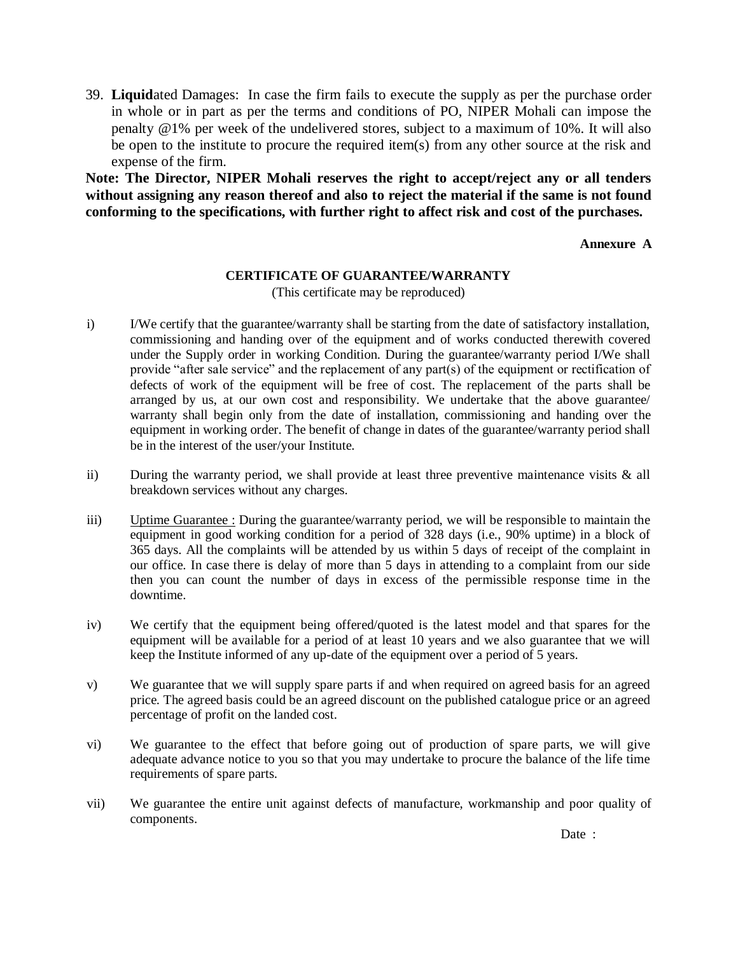39. **Liquid**ated Damages: In case the firm fails to execute the supply as per the purchase order in whole or in part as per the terms and conditions of PO, NIPER Mohali can impose the penalty @1% per week of the undelivered stores, subject to a maximum of 10%. It will also be open to the institute to procure the required item(s) from any other source at the risk and expense of the firm.

**Note: The Director, NIPER Mohali reserves the right to accept/reject any or all tenders without assigning any reason thereof and also to reject the material if the same is not found conforming to the specifications, with further right to affect risk and cost of the purchases.**

#### **Annexure A**

#### **CERTIFICATE OF GUARANTEE/WARRANTY**

(This certificate may be reproduced)

- i) I/We certify that the guarantee/warranty shall be starting from the date of satisfactory installation, commissioning and handing over of the equipment and of works conducted therewith covered under the Supply order in working Condition. During the guarantee/warranty period I/We shall provide "after sale service" and the replacement of any part(s) of the equipment or rectification of defects of work of the equipment will be free of cost. The replacement of the parts shall be arranged by us, at our own cost and responsibility. We undertake that the above guarantee/ warranty shall begin only from the date of installation, commissioning and handing over the equipment in working order. The benefit of change in dates of the guarantee/warranty period shall be in the interest of the user/your Institute.
- ii) During the warranty period, we shall provide at least three preventive maintenance visits & all breakdown services without any charges.
- iii) Uptime Guarantee : During the guarantee/warranty period, we will be responsible to maintain the equipment in good working condition for a period of 328 days (i.e., 90% uptime) in a block of 365 days. All the complaints will be attended by us within 5 days of receipt of the complaint in our office. In case there is delay of more than 5 days in attending to a complaint from our side then you can count the number of days in excess of the permissible response time in the downtime.
- iv) We certify that the equipment being offered/quoted is the latest model and that spares for the equipment will be available for a period of at least 10 years and we also guarantee that we will keep the Institute informed of any up-date of the equipment over a period of 5 years.
- v) We guarantee that we will supply spare parts if and when required on agreed basis for an agreed price. The agreed basis could be an agreed discount on the published catalogue price or an agreed percentage of profit on the landed cost.
- vi) We guarantee to the effect that before going out of production of spare parts, we will give adequate advance notice to you so that you may undertake to procure the balance of the life time requirements of spare parts.
- vii) We guarantee the entire unit against defects of manufacture, workmanship and poor quality of components.

Date :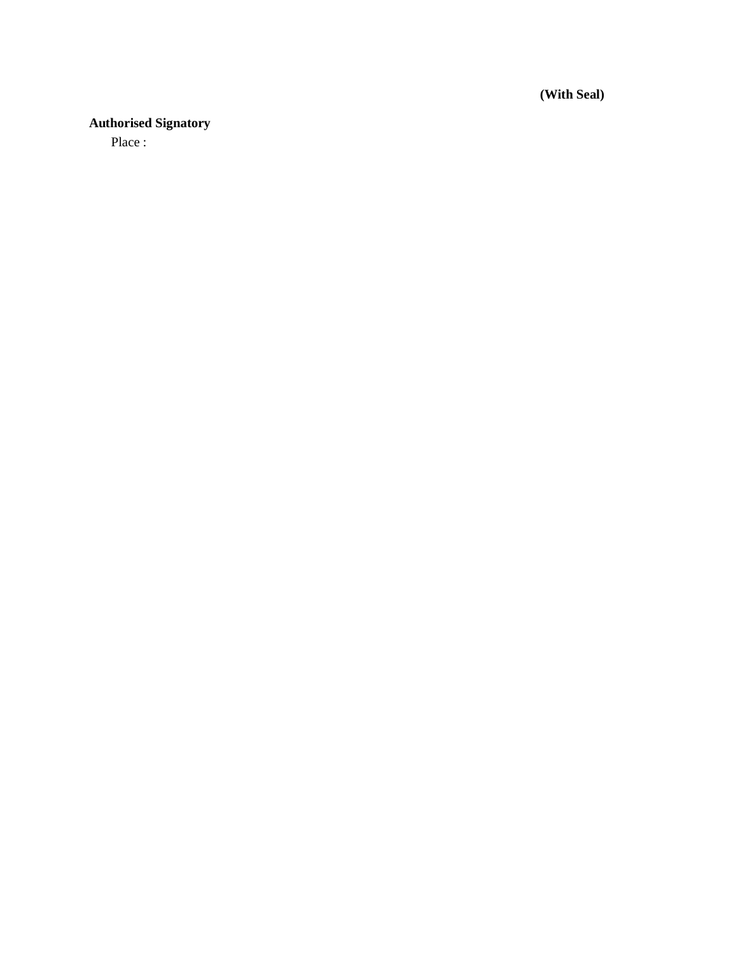**(With Seal)**

## **Authorised Signatory**

Place :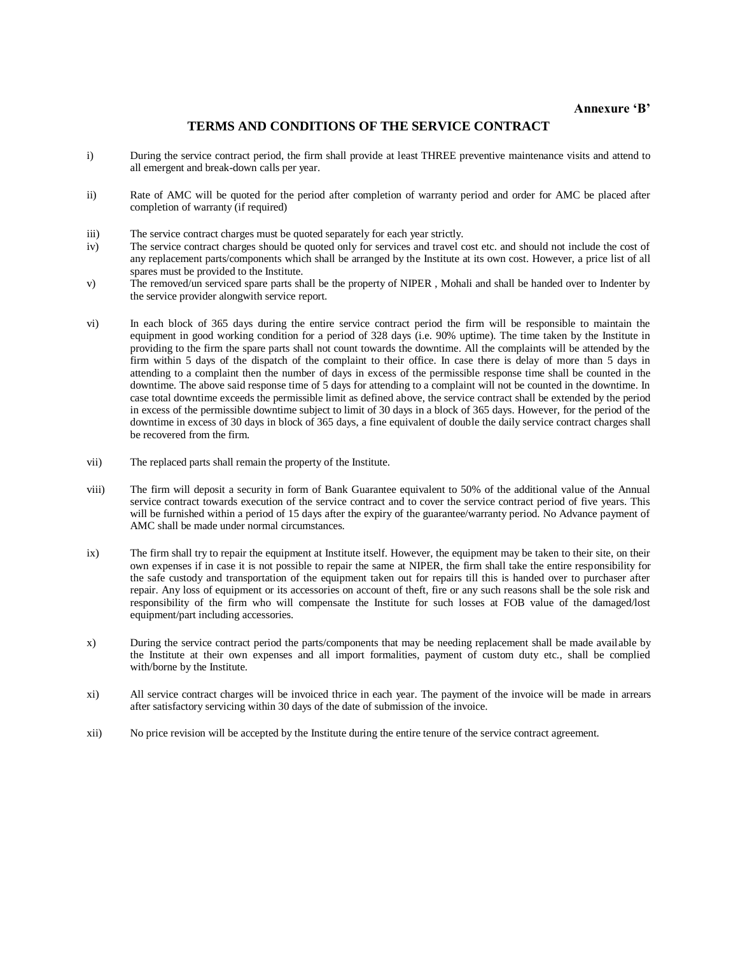#### **TERMS AND CONDITIONS OF THE SERVICE CONTRACT**

- i) During the service contract period, the firm shall provide at least THREE preventive maintenance visits and attend to all emergent and break-down calls per year.
- ii) Rate of AMC will be quoted for the period after completion of warranty period and order for AMC be placed after completion of warranty (if required)
- iii) The service contract charges must be quoted separately for each year strictly.
- iv) The service contract charges should be quoted only for services and travel cost etc. and should not include the cost of any replacement parts/components which shall be arranged by the Institute at its own cost. However, a price list of all spares must be provided to the Institute.
- v) The removed/un serviced spare parts shall be the property of NIPER , Mohali and shall be handed over to Indenter by the service provider alongwith service report.
- vi) In each block of 365 days during the entire service contract period the firm will be responsible to maintain the equipment in good working condition for a period of 328 days (i.e. 90% uptime). The time taken by the Institute in providing to the firm the spare parts shall not count towards the downtime. All the complaints will be attended by the firm within 5 days of the dispatch of the complaint to their office. In case there is delay of more than 5 days in attending to a complaint then the number of days in excess of the permissible response time shall be counted in the downtime. The above said response time of 5 days for attending to a complaint will not be counted in the downtime. In case total downtime exceeds the permissible limit as defined above, the service contract shall be extended by the period in excess of the permissible downtime subject to limit of 30 days in a block of 365 days. However, for the period of the downtime in excess of 30 days in block of 365 days, a fine equivalent of double the daily service contract charges shall be recovered from the firm.
- vii) The replaced parts shall remain the property of the Institute.
- viii) The firm will deposit a security in form of Bank Guarantee equivalent to 50% of the additional value of the Annual service contract towards execution of the service contract and to cover the service contract period of five years. This will be furnished within a period of 15 days after the expiry of the guarantee/warranty period. No Advance payment of AMC shall be made under normal circumstances.
- ix) The firm shall try to repair the equipment at Institute itself. However, the equipment may be taken to their site, on their own expenses if in case it is not possible to repair the same at NIPER, the firm shall take the entire responsibility for the safe custody and transportation of the equipment taken out for repairs till this is handed over to purchaser after repair. Any loss of equipment or its accessories on account of theft, fire or any such reasons shall be the sole risk and responsibility of the firm who will compensate the Institute for such losses at FOB value of the damaged/lost equipment/part including accessories.
- x) During the service contract period the parts/components that may be needing replacement shall be made available by the Institute at their own expenses and all import formalities, payment of custom duty etc., shall be complied with/borne by the Institute.
- xi) All service contract charges will be invoiced thrice in each year. The payment of the invoice will be made in arrears after satisfactory servicing within 30 days of the date of submission of the invoice.
- xii) No price revision will be accepted by the Institute during the entire tenure of the service contract agreement.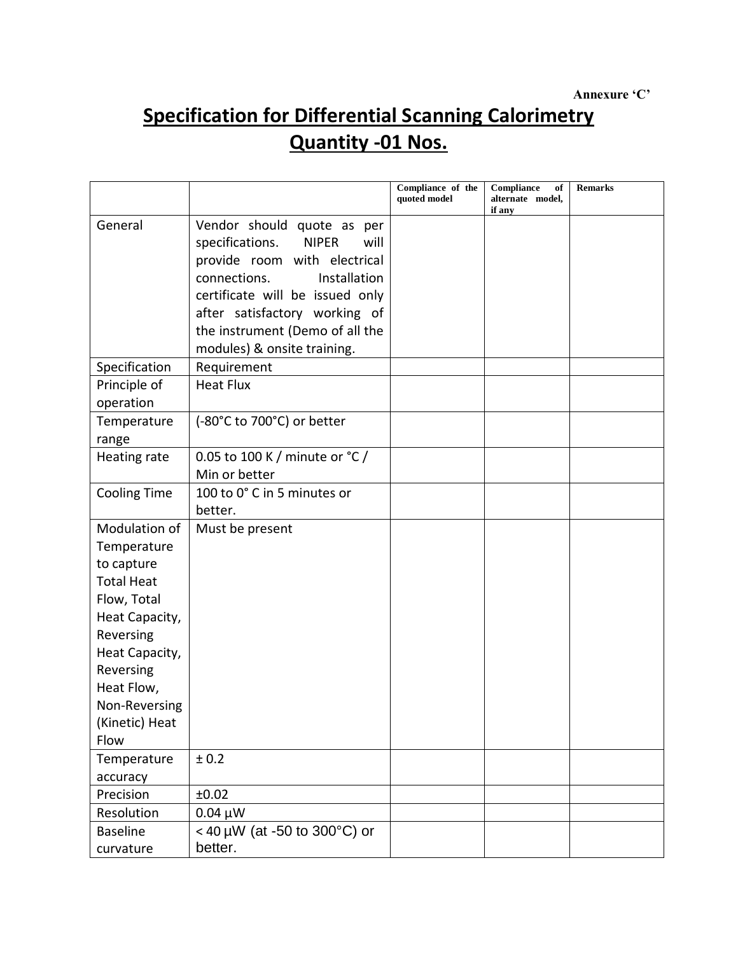## **Specification for Differential Scanning Calorimetry Quantity -01 Nos.**

|                                                                                                                                                                                                       |                                                                                                                                                                                                                                                                                                                | Compliance of the<br>quoted model | Compliance<br>of<br>alternate model,<br>if any | <b>Remarks</b> |
|-------------------------------------------------------------------------------------------------------------------------------------------------------------------------------------------------------|----------------------------------------------------------------------------------------------------------------------------------------------------------------------------------------------------------------------------------------------------------------------------------------------------------------|-----------------------------------|------------------------------------------------|----------------|
| General<br>Specification<br>Principle of                                                                                                                                                              | Vendor should quote as per<br>specifications.<br><b>NIPER</b><br>will<br>provide room with electrical<br>connections.<br>Installation<br>certificate will be issued only<br>after satisfactory working of<br>the instrument (Demo of all the<br>modules) & onsite training.<br>Requirement<br><b>Heat Flux</b> |                                   |                                                |                |
| operation                                                                                                                                                                                             |                                                                                                                                                                                                                                                                                                                |                                   |                                                |                |
| Temperature<br>range                                                                                                                                                                                  | (-80°C to 700°C) or better                                                                                                                                                                                                                                                                                     |                                   |                                                |                |
| Heating rate                                                                                                                                                                                          | 0.05 to 100 K / minute or °C /<br>Min or better                                                                                                                                                                                                                                                                |                                   |                                                |                |
| <b>Cooling Time</b>                                                                                                                                                                                   | 100 to 0° C in 5 minutes or<br>better.                                                                                                                                                                                                                                                                         |                                   |                                                |                |
| Modulation of<br>Temperature<br>to capture<br><b>Total Heat</b><br>Flow, Total<br>Heat Capacity,<br>Reversing<br>Heat Capacity,<br>Reversing<br>Heat Flow,<br>Non-Reversing<br>(Kinetic) Heat<br>Flow | Must be present                                                                                                                                                                                                                                                                                                |                                   |                                                |                |
| Temperature<br>accuracy                                                                                                                                                                               | ± 0.2                                                                                                                                                                                                                                                                                                          |                                   |                                                |                |
| Precision                                                                                                                                                                                             | ±0.02                                                                                                                                                                                                                                                                                                          |                                   |                                                |                |
| Resolution                                                                                                                                                                                            | $0.04 \mu W$                                                                                                                                                                                                                                                                                                   |                                   |                                                |                |
| <b>Baseline</b><br>curvature                                                                                                                                                                          | < 40 µW (at -50 to 300°C) or<br>better.                                                                                                                                                                                                                                                                        |                                   |                                                |                |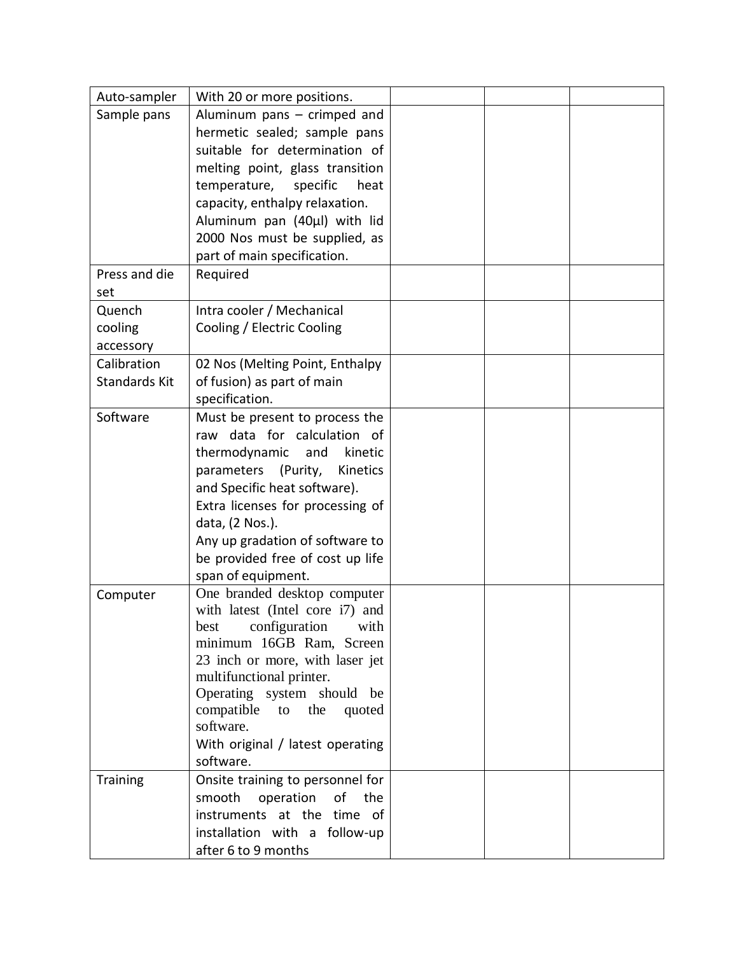| Auto-sampler    | With 20 or more positions.                                  |  |  |
|-----------------|-------------------------------------------------------------|--|--|
| Sample pans     | Aluminum pans $-$ crimped and                               |  |  |
|                 | hermetic sealed; sample pans                                |  |  |
|                 | suitable for determination of                               |  |  |
|                 | melting point, glass transition                             |  |  |
|                 | temperature,<br>specific<br>heat                            |  |  |
|                 | capacity, enthalpy relaxation.                              |  |  |
|                 | Aluminum pan (40µl) with lid                                |  |  |
|                 | 2000 Nos must be supplied, as                               |  |  |
|                 | part of main specification.                                 |  |  |
| Press and die   | Required                                                    |  |  |
| set             |                                                             |  |  |
| Quench          | Intra cooler / Mechanical                                   |  |  |
| cooling         | Cooling / Electric Cooling                                  |  |  |
| accessory       |                                                             |  |  |
| Calibration     | 02 Nos (Melting Point, Enthalpy                             |  |  |
| Standards Kit   | of fusion) as part of main                                  |  |  |
|                 | specification.                                              |  |  |
| Software        | Must be present to process the                              |  |  |
|                 | raw data for calculation of                                 |  |  |
|                 | thermodynamic and<br>kinetic                                |  |  |
|                 | parameters<br>(Purity,<br>Kinetics                          |  |  |
|                 | and Specific heat software).                                |  |  |
|                 | Extra licenses for processing of                            |  |  |
|                 | data, (2 Nos.).                                             |  |  |
|                 | Any up gradation of software to                             |  |  |
|                 | be provided free of cost up life                            |  |  |
|                 | span of equipment.                                          |  |  |
| Computer        | One branded desktop computer                                |  |  |
|                 | with latest (Intel core i7) and                             |  |  |
|                 | best configuration with                                     |  |  |
|                 | minimum 16GB Ram, Screen                                    |  |  |
|                 | 23 inch or more, with laser jet<br>multifunctional printer. |  |  |
|                 | Operating system should be                                  |  |  |
|                 | compatible to the<br>quoted                                 |  |  |
|                 | software.                                                   |  |  |
|                 | With original / latest operating                            |  |  |
|                 | software.                                                   |  |  |
| <b>Training</b> | Onsite training to personnel for                            |  |  |
|                 | smooth<br>operation<br>of<br>the                            |  |  |
|                 | instruments at the time of                                  |  |  |
|                 | installation with a follow-up                               |  |  |
|                 | after 6 to 9 months                                         |  |  |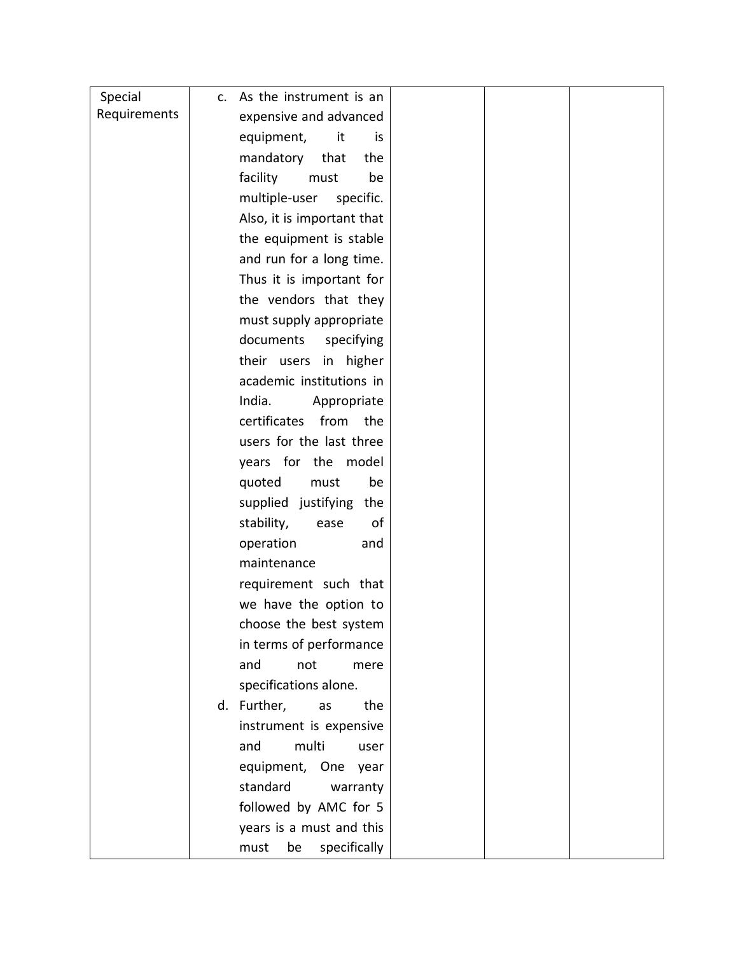| Special      | c. As the instrument is an  |  |  |
|--------------|-----------------------------|--|--|
| Requirements | expensive and advanced      |  |  |
|              | equipment,<br>it<br>is      |  |  |
|              | mandatory<br>that<br>the    |  |  |
|              | facility<br>must<br>be      |  |  |
|              | multiple-user<br>specific.  |  |  |
|              | Also, it is important that  |  |  |
|              | the equipment is stable     |  |  |
|              | and run for a long time.    |  |  |
|              | Thus it is important for    |  |  |
|              | the vendors that they       |  |  |
|              | must supply appropriate     |  |  |
|              | documents<br>specifying     |  |  |
|              | their users in higher       |  |  |
|              | academic institutions in    |  |  |
|              | India.<br>Appropriate       |  |  |
|              | certificates<br>from<br>the |  |  |
|              | users for the last three    |  |  |
|              | years for the model         |  |  |
|              | quoted<br>must<br>be        |  |  |
|              | supplied justifying the     |  |  |
|              | stability,<br>of<br>ease    |  |  |
|              | operation<br>and            |  |  |
|              | maintenance                 |  |  |
|              | requirement such that       |  |  |
|              | we have the option to       |  |  |
|              | choose the best system      |  |  |
|              | in terms of performance     |  |  |
|              | and<br>not<br>mere          |  |  |
|              | specifications alone.       |  |  |
|              | d. Further,<br>as<br>the    |  |  |
|              | instrument is expensive     |  |  |
|              | multi<br>and<br>user        |  |  |
|              | equipment, One year         |  |  |
|              | standard<br>warranty        |  |  |
|              | followed by AMC for 5       |  |  |
|              | years is a must and this    |  |  |
|              | be<br>specifically<br>must  |  |  |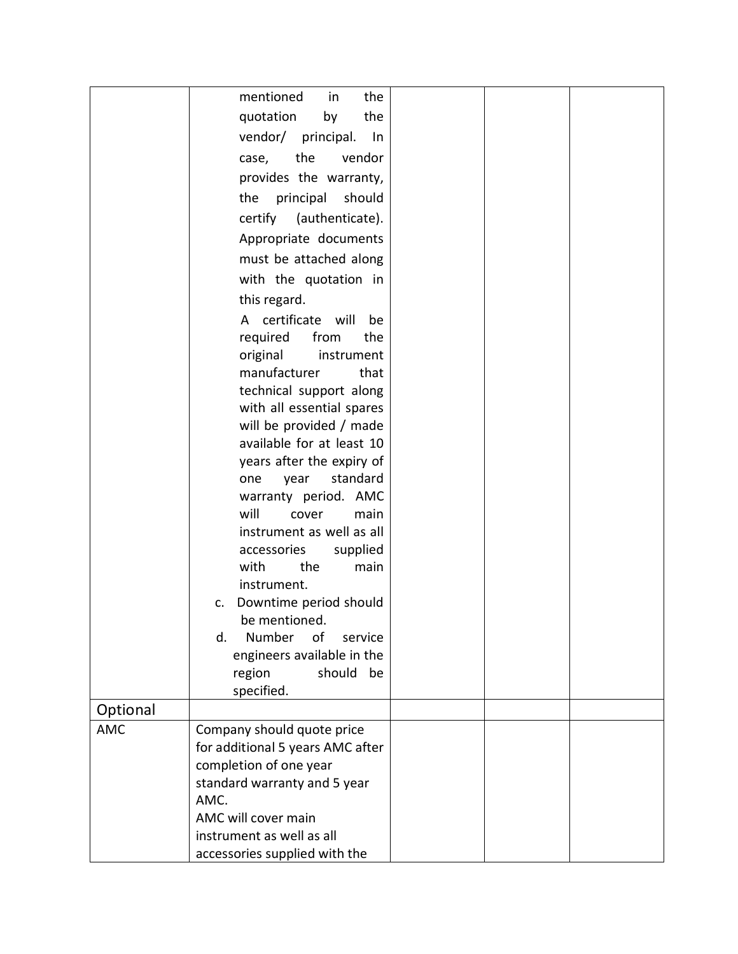|            | mentioned<br>the<br>in                                     |  |  |
|------------|------------------------------------------------------------|--|--|
|            | quotation<br>the<br>by                                     |  |  |
|            | vendor/<br>principal.<br>In                                |  |  |
|            | the<br>vendor<br>case,                                     |  |  |
|            | provides the warranty,                                     |  |  |
|            | the principal<br>should                                    |  |  |
|            |                                                            |  |  |
|            | certify (authenticate).                                    |  |  |
|            | Appropriate documents                                      |  |  |
|            | must be attached along                                     |  |  |
|            | with the quotation in                                      |  |  |
|            | this regard.                                               |  |  |
|            | A certificate will<br>be                                   |  |  |
|            | required<br>from<br>the                                    |  |  |
|            | original<br>instrument                                     |  |  |
|            | manufacturer<br>that                                       |  |  |
|            | technical support along                                    |  |  |
|            | with all essential spares                                  |  |  |
|            | will be provided / made<br>available for at least 10       |  |  |
|            | years after the expiry of                                  |  |  |
|            | standard<br>year<br>one                                    |  |  |
|            | warranty period. AMC                                       |  |  |
|            | will<br>cover<br>main                                      |  |  |
|            | instrument as well as all                                  |  |  |
|            | accessories<br>supplied                                    |  |  |
|            | with<br>the<br>main                                        |  |  |
|            | instrument.                                                |  |  |
|            | Downtime period should<br>c.                               |  |  |
|            | be mentioned.                                              |  |  |
|            | Number<br>service<br>d.<br>of                              |  |  |
|            | engineers available in the                                 |  |  |
|            | region<br>should<br>be                                     |  |  |
|            | specified.                                                 |  |  |
| Optional   |                                                            |  |  |
| <b>AMC</b> | Company should quote price                                 |  |  |
|            | for additional 5 years AMC after<br>completion of one year |  |  |
|            | standard warranty and 5 year                               |  |  |
|            | AMC.                                                       |  |  |
|            | AMC will cover main                                        |  |  |
|            | instrument as well as all                                  |  |  |
|            | accessories supplied with the                              |  |  |